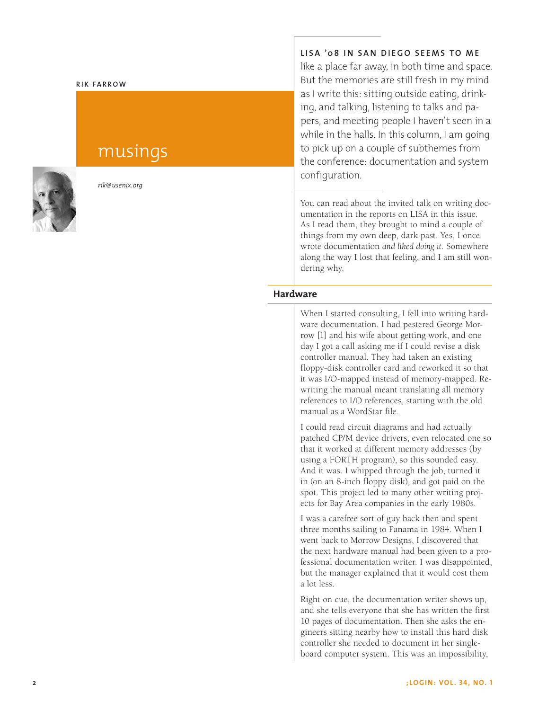#### **Rik Fa rr o w**

# musings



*rik@usenix.org*

**LISA '08 i n S a n D i ego s eem s to me**

like a place far away, in both time and space. But the memories are still fresh in my mind as I write this: sitting outside eating, drink ing, and talking, listening to talks and pa pers, and meeting people I haven't seen in a while in the halls. In this column, I am going to pick up on a couple of subthemes from the conference: documentation and system configuration.

You can read about the invited talk on writing doc umentation in the reports on LISA in this issue. As I read them, they brought to mind a couple of things from my own deep, dark past. Yes, I once wrote documentation *and liked doing it*. Somewhere along the way I lost that feeling, and I am still won dering why.

## **Hardware**

When I started consulting, I fell into writing hard ware documentation. I had pestered George Morrow [1] and his wife about getting work, and one day I got a call asking me if I could revise a disk controller manual. They had taken an existing floppy-disk controller card and reworked it so that it was I/O-mapped instead of memory-mapped. Re writing the manual meant translating all memory references to I/O references, starting with the old manual as a WordStar file.

I could read circuit diagrams and had actually patched CP/M device drivers, even relocated one so that it worked at different memory addresses (by using a FORTH program), so this sounded easy. And it was. I whipped through the job, turned it in (on an 8-inch floppy disk), and got paid on the spot. This project led to many other writing proj ects for Bay Area companies in the early 1980s.

I was a carefree sort of guy back then and spent three months sailing to Panama in 1984. When I went back to Morrow Designs, I discovered that the next hardware manual had been given to a pro fessional documentation writer. I was disappointed, but the manager explained that it would cost them a lot less.

Right on cue, the documentation writer shows up, and she tells everyone that she has written the first 10 pages of documentation. Then she asks the en gineers sitting nearby how to install this hard disk controller she needed to document in her singleboard computer system. This was an impossibility,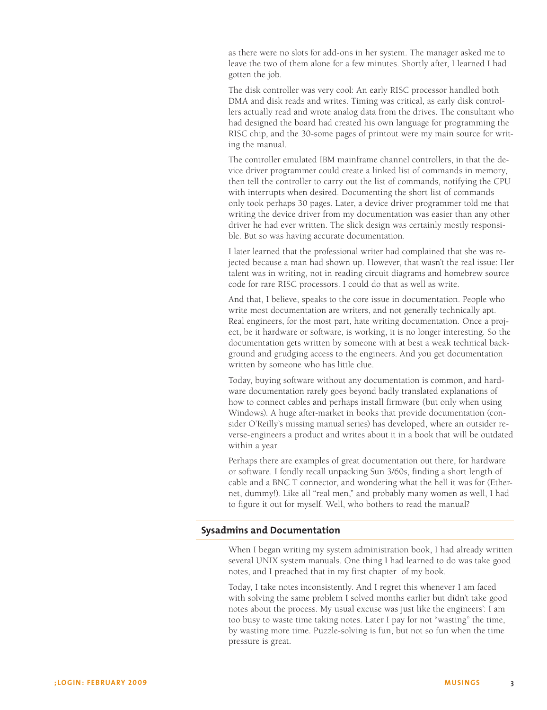as there were no slots for add-ons in her system. The manager asked me to leave the two of them alone for a few minutes. Shortly after, I learned I had gotten the job.

The disk controller was very cool: An early RISC processor handled both DMA and disk reads and writes. Timing was critical, as early disk controllers actually read and wrote analog data from the drives. The consultant who had designed the board had created his own language for programming the RISC chip, and the 30-some pages of printout were my main source for writing the manual.

The controller emulated IBM mainframe channel controllers, in that the device driver programmer could create a linked list of commands in memory, then tell the controller to carry out the list of commands, notifying the CPU with interrupts when desired. Documenting the short list of commands only took perhaps 30 pages. Later, a device driver programmer told me that writing the device driver from my documentation was easier than any other driver he had ever written. The slick design was certainly mostly responsible. But so was having accurate documentation.

I later learned that the professional writer had complained that she was rejected because a man had shown up. However, that wasn't the real issue: Her talent was in writing, not in reading circuit diagrams and homebrew source code for rare RISC processors. I could do that as well as write.

And that, I believe, speaks to the core issue in documentation. People who write most documentation are writers, and not generally technically apt. Real engineers, for the most part, hate writing documentation. Once a project, be it hardware or software, is working, it is no longer interesting. So the documentation gets written by someone with at best a weak technical background and grudging access to the engineers. And you get documentation written by someone who has little clue.

Today, buying software without any documentation is common, and hardware documentation rarely goes beyond badly translated explanations of how to connect cables and perhaps install firmware (but only when using Windows). A huge after-market in books that provide documentation (consider O'Reilly's missing manual series) has developed, where an outsider reverse-engineers a product and writes about it in a book that will be outdated within a year.

Perhaps there are examples of great documentation out there, for hardware or software. I fondly recall unpacking Sun 3/60s, finding a short length of cable and a BNC T connector, and wondering what the hell it was for (Ethernet, dummy!). Like all "real men," and probably many women as well, I had to figure it out for myself. Well, who bothers to read the manual?

#### **Sysadmins and Documentation**

When I began writing my system administration book, I had already written several UNIX system manuals. One thing I had learned to do was take good notes, and I preached that in my first chapter of my book.

Today, I take notes inconsistently. And I regret this whenever I am faced with solving the same problem I solved months earlier but didn't take good notes about the process. My usual excuse was just like the engineers': I am too busy to waste time taking notes. Later I pay for not "wasting" the time, by wasting more time. Puzzle-solving is fun, but not so fun when the time pressure is great.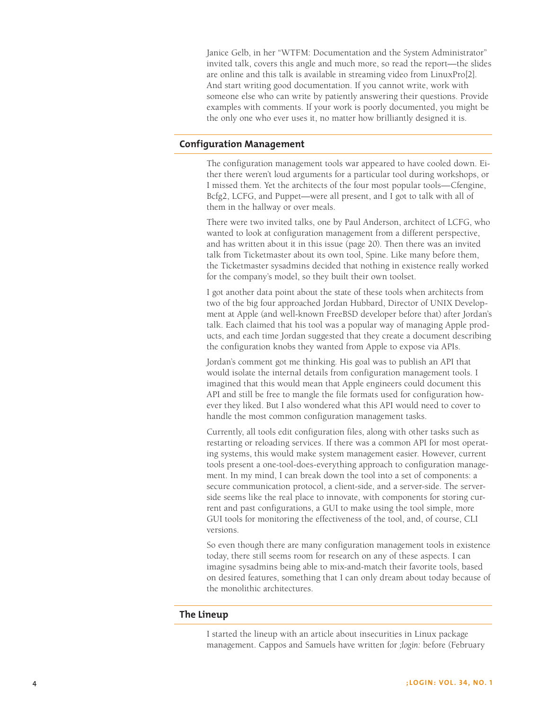Janice Gelb, in her "WTFM: Documentation and the System Administrator" invited talk, covers this angle and much more, so read the report—the slides are online and this talk is available in streaming video from LinuxPro[2]. And start writing good documentation. If you cannot write, work with someone else who can write by patiently answering their questions. Provide examples with comments. If your work is poorly documented, you might be the only one who ever uses it, no matter how brilliantly designed it is.

### **Configuration Management**

The configuration management tools war appeared to have cooled down. Either there weren't loud arguments for a particular tool during workshops, or I missed them. Yet the architects of the four most popular tools—Cfengine, Bcfg2, LCFG, and Puppet—were all present, and I got to talk with all of them in the hallway or over meals.

There were two invited talks, one by Paul Anderson, architect of LCFG, who wanted to look at configuration management from a different perspective, and has written about it in this issue (page 20). Then there was an invited talk from Ticketmaster about its own tool, Spine. Like many before them, the Ticketmaster sysadmins decided that nothing in existence really worked for the company's model, so they built their own toolset.

I got another data point about the state of these tools when architects from two of the big four approached Jordan Hubbard, Director of UNIX Development at Apple (and well-known FreeBSD developer before that) after Jordan's talk. Each claimed that his tool was a popular way of managing Apple products, and each time Jordan suggested that they create a document describing the configuration knobs they wanted from Apple to expose via APIs.

Jordan's comment got me thinking. His goal was to publish an API that would isolate the internal details from configuration management tools. I imagined that this would mean that Apple engineers could document this API and still be free to mangle the file formats used for configuration however they liked. But I also wondered what this API would need to cover to handle the most common configuration management tasks.

Currently, all tools edit configuration files, along with other tasks such as restarting or reloading services. If there was a common API for most operating systems, this would make system management easier. However, current tools present a one-tool-does-everything approach to configuration management. In my mind, I can break down the tool into a set of components: a secure communication protocol, a client-side, and a server-side. The serverside seems like the real place to innovate, with components for storing current and past configurations, a GUI to make using the tool simple, more GUI tools for monitoring the effectiveness of the tool, and, of course, CLI versions.

So even though there are many configuration management tools in existence today, there still seems room for research on any of these aspects. I can imagine sysadmins being able to mix-and-match their favorite tools, based on desired features, something that I can only dream about today because of the monolithic architectures.

#### **The Lineup**

I started the lineup with an article about insecurities in Linux package management. Cappos and Samuels have written for *;login:* before (February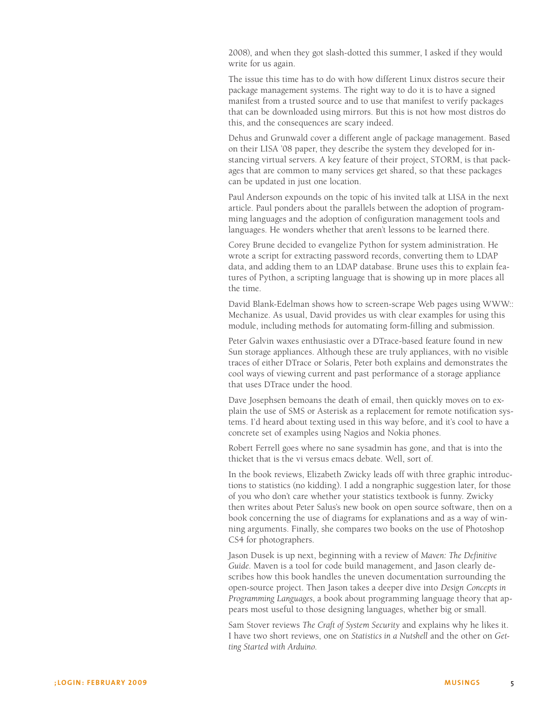2008), and when they got slash-dotted this summer, I asked if they would write for us again.

The issue this time has to do with how different Linux distros secure their package management systems. The right way to do it is to have a signed manifest from a trusted source and to use that manifest to verify packages that can be downloaded using mirrors. But this is not how most distros do this, and the consequences are scary indeed.

Dehus and Grunwald cover a different angle of package management. Based on their LISA '08 paper, they describe the system they developed for instancing virtual servers. A key feature of their project, STORM, is that packages that are common to many services get shared, so that these packages can be updated in just one location.

Paul Anderson expounds on the topic of his invited talk at LISA in the next article. Paul ponders about the parallels between the adoption of programming languages and the adoption of configuration management tools and languages. He wonders whether that aren't lessons to be learned there.

Corey Brune decided to evangelize Python for system administration. He wrote a script for extracting password records, converting them to LDAP data, and adding them to an LDAP database. Brune uses this to explain features of Python, a scripting language that is showing up in more places all the time.

David Blank-Edelman shows how to screen-scrape Web pages using WWW:: Mechanize. As usual, David provides us with clear examples for using this module, including methods for automating form-filling and submission.

Peter Galvin waxes enthusiastic over a DTrace-based feature found in new Sun storage appliances. Although these are truly appliances, with no visible traces of either DTrace or Solaris, Peter both explains and demonstrates the cool ways of viewing current and past performance of a storage appliance that uses DTrace under the hood.

Dave Josephsen bemoans the death of email, then quickly moves on to explain the use of SMS or Asterisk as a replacement for remote notification systems. I'd heard about texting used in this way before, and it's cool to have a concrete set of examples using Nagios and Nokia phones.

Robert Ferrell goes where no sane sysadmin has gone, and that is into the thicket that is the vi versus emacs debate. Well, sort of.

In the book reviews, Elizabeth Zwicky leads off with three graphic introductions to statistics (no kidding). I add a nongraphic suggestion later, for those of you who don't care whether your statistics textbook is funny. Zwicky then writes about Peter Salus's new book on open source software, then on a book concerning the use of diagrams for explanations and as a way of winning arguments. Finally, she compares two books on the use of Photoshop CS4 for photographers.

Jason Dusek is up next, beginning with a review of *Maven: The Definitive Guide*. Maven is a tool for code build management, and Jason clearly describes how this book handles the uneven documentation surrounding the open-source project. Then Jason takes a deeper dive into *Design Concepts in Programming Languages*, a book about programming language theory that appears most useful to those designing languages, whether big or small.

Sam Stover reviews *The Craft of System Security* and explains why he likes it. I have two short reviews, one on *Statistics in a Nutshell* and the other on *Getting Started with Arduino*.